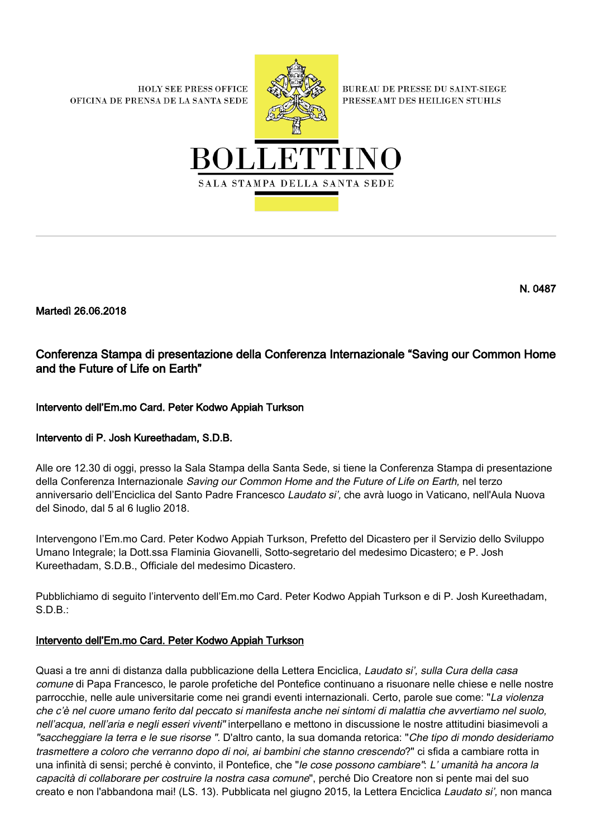**HOLY SEE PRESS OFFICE** OFICINA DE PRENSA DE LA SANTA SEDE



**BUREAU DE PRESSE DU SAINT-SIEGE** PRESSEAMT DES HEILIGEN STUHLS



Martedì 26.06.2018

# Conferenza Stampa di presentazione della Conferenza Internazionale "Saving our Common Home and the Future of Life on Earth"

## Intervento dell'Em.mo Card. Peter Kodwo Appiah Turkson

### Intervento di P. Josh Kureethadam, S.D.B.

Alle ore 12.30 di oggi, presso la Sala Stampa della Santa Sede, si tiene la Conferenza Stampa di presentazione della Conferenza Internazionale Saving our Common Home and the Future of Life on Earth, nel terzo anniversario dell'Enciclica del Santo Padre Francesco Laudato si', che avrà luogo in Vaticano, nell'Aula Nuova del Sinodo, dal 5 al 6 luglio 2018.

Intervengono l'Em.mo Card. Peter Kodwo Appiah Turkson, Prefetto del Dicastero per il Servizio dello Sviluppo Umano Integrale; la Dott.ssa Flaminia Giovanelli, Sotto-segretario del medesimo Dicastero; e P. Josh Kureethadam, S.D.B., Officiale del medesimo Dicastero.

Pubblichiamo di seguito l'intervento dell'Em.mo Card. Peter Kodwo Appiah Turkson e di P. Josh Kureethadam, S.D.B.:

### Intervento dell'Em.mo Card. Peter Kodwo Appiah Turkson

Quasi a tre anni di distanza dalla pubblicazione della Lettera Enciclica, Laudato si', sulla Cura della casa comune di Papa Francesco, le parole profetiche del Pontefice continuano a risuonare nelle chiese e nelle nostre parrocchie, nelle aule universitarie come nei grandi eventi internazionali. Certo, parole sue come: "La violenza che c'è nel cuore umano ferito dal peccato si manifesta anche nei sintomi di malattia che avvertiamo nel suolo, nell'acqua, nell'aria e negli esseri viventi" interpellano e mettono in discussione le nostre attitudini biasimevoli a "saccheggiare la terra e le sue risorse ". D'altro canto, la sua domanda retorica: "Che tipo di mondo desideriamo trasmettere a coloro che verranno dopo di noi, ai bambini che stanno crescendo?" ci sfida a cambiare rotta in una infinità di sensi; perché è convinto, il Pontefice, che "le cose possono cambiare": L' umanità ha ancora la capacità di collaborare per costruire la nostra casa comune", perché Dio Creatore non si pente mai del suo creato e non l'abbandona mai! (LS. 13). Pubblicata nel giugno 2015, la Lettera Enciclica Laudato si', non manca

N. 0487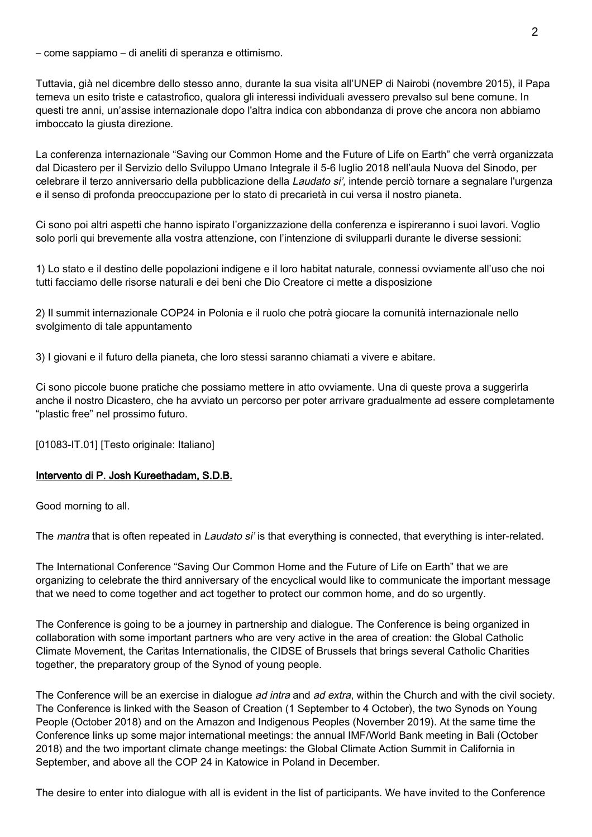– come sappiamo – di aneliti di speranza e ottimismo.

Tuttavia, già nel dicembre dello stesso anno, durante la sua visita all'UNEP di Nairobi (novembre 2015), il Papa temeva un esito triste e catastrofico, qualora gli interessi individuali avessero prevalso sul bene comune. In questi tre anni, un'assise internazionale dopo l'altra indica con abbondanza di prove che ancora non abbiamo imboccato la giusta direzione.

La conferenza internazionale "Saving our Common Home and the Future of Life on Earth" che verrà organizzata dal Dicastero per il Servizio dello Sviluppo Umano Integrale il 5-6 luglio 2018 nell'aula Nuova del Sinodo, per celebrare il terzo anniversario della pubblicazione della Laudato si', intende perciò tornare a segnalare l'urgenza e il senso di profonda preoccupazione per lo stato di precarietà in cui versa il nostro pianeta.

Ci sono poi altri aspetti che hanno ispirato l'organizzazione della conferenza e ispireranno i suoi lavori. Voglio solo porli qui brevemente alla vostra attenzione, con l'intenzione di svilupparli durante le diverse sessioni:

1) Lo stato e il destino delle popolazioni indigene e il loro habitat naturale, connessi ovviamente all'uso che noi tutti facciamo delle risorse naturali e dei beni che Dio Creatore ci mette a disposizione

2) Il summit internazionale COP24 in Polonia e il ruolo che potrà giocare la comunità internazionale nello svolgimento di tale appuntamento

3) I giovani e il futuro della pianeta, che loro stessi saranno chiamati a vivere e abitare.

Ci sono piccole buone pratiche che possiamo mettere in atto ovviamente. Una di queste prova a suggerirla anche il nostro Dicastero, che ha avviato un percorso per poter arrivare gradualmente ad essere completamente "plastic free" nel prossimo futuro.

[01083-IT.01] [Testo originale: Italiano]

### Intervento di P. Josh Kureethadam, S.D.B.

Good morning to all.

The mantra that is often repeated in Laudato si' is that everything is connected, that everything is inter-related.

The International Conference "Saving Our Common Home and the Future of Life on Earth" that we are organizing to celebrate the third anniversary of the encyclical would like to communicate the important message that we need to come together and act together to protect our common home, and do so urgently.

The Conference is going to be a journey in partnership and dialogue. The Conference is being organized in collaboration with some important partners who are very active in the area of creation: the Global Catholic Climate Movement, the Caritas Internationalis, the CIDSE of Brussels that brings several Catholic Charities together, the preparatory group of the Synod of young people.

The Conference will be an exercise in dialogue ad intra and ad extra, within the Church and with the civil society. The Conference is linked with the Season of Creation (1 September to 4 October), the two Synods on Young People (October 2018) and on the Amazon and Indigenous Peoples (November 2019). At the same time the Conference links up some major international meetings: the annual IMF/World Bank meeting in Bali (October 2018) and the two important climate change meetings: the Global Climate Action Summit in California in September, and above all the COP 24 in Katowice in Poland in December.

The desire to enter into dialogue with all is evident in the list of participants. We have invited to the Conference